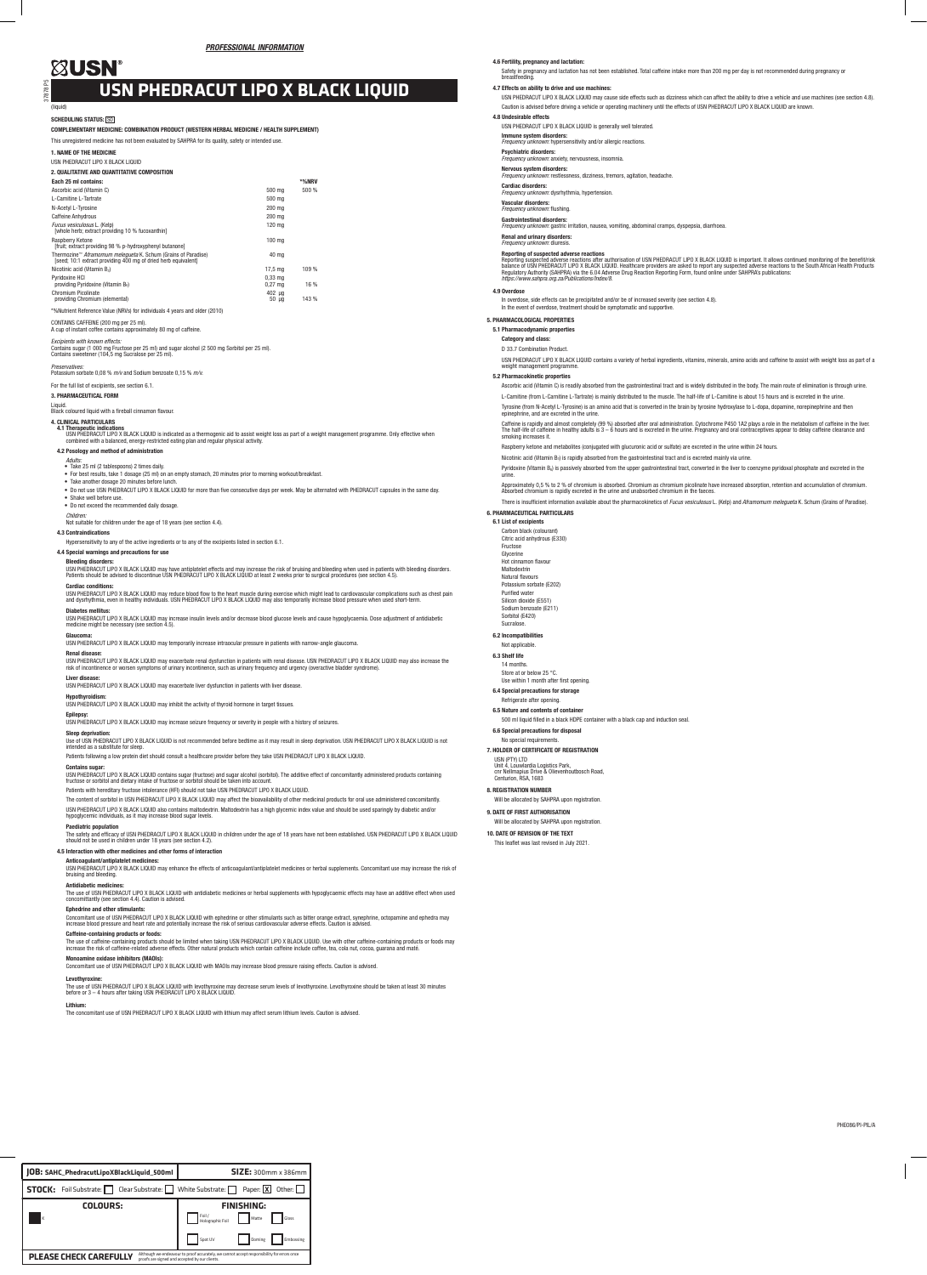37878 P5

### SCHEDULING STATUS: SOI

| PHE086/PI-PIL/A |
|-----------------|
|-----------------|

### (liquid)

## COMPLEMENTARY MEDICINE: COMBINATION PRODUCT (WESTERN HERBAL MEDICINE / HEALTH SUPPLEMENT)

## This unregistered medicine has not been evaluated by SAHPRA for its quality, safety or intended use.

1. NAME OF THE MEDICINE

### USN PHEDRACUT LIPO X BLACK LIQUID

### 2. QUALITATIVE AND QUANTITATIVE COMPOSITION Each 25 ml contains: \*%NRV Ascorbic acid (Vitamin C) 500 mg 500 % L-Carnitine L-Tartrate 500 mg<br>M-Acobal L-Tarracine 500 mg 1999 at 1999 at 1999 at 1999 at 1999 at 1999 at 1999 at 1999 at 1999 at 1999 at 19 N-Acetyl L-Tyrosine Caffeine Anhydrous 200 mg and 200 mg and 200 mg and 200 mg and 200 mg and 200 mg and 200 mg and 200 mg and 200 mg and 200 mg and 200 mg and 200 mg and 200 mg and 200 mg and 200 mg and 200 mg and 200 mg and 200 mg and 200 m *Fucus vesiculosus* L. (Kelp) [whole herb; extract providing 10 % fucoxanthin] 120 mg Raspberry Ketone [fruit; extract providing 98 % p-hydroxyphenyl butanone] 100 mg Thermozine™ *Aframomum melegueta* K. Schum (Grains of Paradise) [seed; 10:1 extract providing 400 mg of dried herb equivalent] 40 mg Nicotinic acid (Vitamin B<sub>3</sub>) 17.5 mg 109 % Pyridoxine HCl providing Pyridoxine (Vitamin B6) 0,33 mg 0,27 mg 16 % Chromium Picolinate providing Chromium (elemental) 402 µg 50 µg 143 %

- For best results, take 1 dosage (25 ml) on an empty stomach, 20 minutes prior to morning workout/breakfast.
- Take another dosage 20 minutes before lunch.
- Do not use USN PHEDRACUT LIPO X BLACK LIQUID for more than five consecutive days per week. May be alternated with PHEDRACUT capsules in the same day. • Shake well before use. • Do not exceed the recommended daily dosage.
- 
- *Children:*<br>Not suitable for children under the age of 18 years (see section 4.4).

# \*%Nutrient Reference Value (NRVs) for individuals 4 years and older (2010)

# CONTAINS CAFFEINE (200 mg per 25 ml). A cup of instant coffee contains approximately 80 mg of caffeine.

*Excipients with known effects:* Contains sugar (1 000 mg Fructose per 25 ml) and sugar alcohol (2 500 mg Sorbitol per 25 ml). Contains sweetener (104,5 mg Sucralose per 25 ml).

*Preservatives:* Potassium sorbate 0,08 % *m/v* and Sodium benzoate 0,15 % *m/v.*

### For the full list of excipients, see section 6.1.

3. PHARMACEUTICAL FORM

### Liquid.

Black coloured liquid with a fireball cinnamon flavour.

# 4. CLINICAL PARTICULARS

4**.1 Therapeutic indications**<br>USN PHEDRACK LIQUID is indicated as a thermogenic aid to assist weight loss as part of a weight management programme. Only effective when<br>combined with a balanced, energy-restricted eating pla

# 4.2 Posology and method of administration

*Adults:* • Take 25 ml (2 tablespoons) 2 times daily.

Contains sugar: USN PHEDRACUT LIPO X BLACK LIQUID contains sugar (fructose) and sugar alcohol (sorbitol). The additive effect of concomitantly administered products containing<br>fructose or sorbitol and dietary intake of fructose or sorbito

4.3 Contraindications

Hypersensitivity to any of the active ingredients or to any of the excipients listed in section 6.1.

# 4.4 Special warnings and precautions for use

Bleeding disorders:

USN PHEDRACUT LIPO X BLACK LIQUID may have antiplatelet effects and may increase the risk of bruising and bleeding when used in patients with bleeding disorders.<br>Patients should be advised to discontinue USN PHEDRACUT LIPO

# Cardiac conditions:

USN PHEDRACUT LIPO X BLACK LIQUID may reduce blood flow to the heart muscle during exercise which might lead to cardiovascular complications such as chest pain<br>and dysrhythmia, even in healthy individuals. USN PHEDRACUT LI

# Diabetes mellitus:

USN PHEDRACUT LIPO X BLACK LIQUID may increase insulin levels and/or decrease blood glucose levels and cause hypoglycaemia. Dose adjustment of antidiabetic medicine might be necessary (see section 4.5).

# Glaucoma:

USN PHEDRACUT LIPO X BLACK LIQUID may temporarily increase intraocular pressure in patients with narrow-angle glaucoma.

**Renal disease:**<br>USN PHEDRACUT LIPO X BLACK LIQUID may exacerbate renal dysfunction in patients with renal disease. USN PHEDRACUT LIPO X BLACK LIQUID may also increase the<br>risk of incontinence or worsen symptoms of urinary

# Liver disease:

USN PHEDRACUT LIPO X BLACK LIQUID may exacerbate liver dysfunction in patients with liver disease.

**Hypothyroidism:**<br>USN PHEDRACUT LIPO X BLACK LIQUID may inhibit the activity of thyroid hormone in target tissues.

**Epilepsy:**<br>USN PHEDRACUT LIPO X BLACK LIQUID may increase seizure frequency or severity in people with a history of seizures.

## Sleep deprivation:

Use of USN PHEDRACUT LIPO X BLACK LIQUID is not recommended before bedtime as it may result in sleep deprivation. USN PHEDRACUT LIPO X BLACK LIQUID is not intended as a substitute for sleep. Patients following a low protein diet should consult a healthcare provider before they take USN PHEDRACUT LIPO X BLACK LIQUID.

Reporting suspected adverse reactions after authorisation of USN PHEDRACUT LIPO X BLACK LIQUID is important. It allows continued monitoring of the benefit/risk<br>balance of USN PHEDRACUT LIPO X BLACK LIQUID. Healthcare provi *https://www.sahpra.org.za/Publications/Index/8.*

In overdose, side effects can be precipitated and/or be of increased severity (see section 4.8). In the event of overdose, treatment should be symptomatic and supportive.

Patients with hereditary fructose intolerance (HFI) should not take USN PHEDRACUT LIPO X BLACK LIQUID.

The content of sorbitol in USN PHEDRACUT LIPO X BLACK LIQUID may affect the bioavailability of other medicinal products for oral use administered concomitantly. USN PHEDRACUT LIPO X BLACK LIQUID also contains maltodextrin. Maltodextrin has a high glycemic index value and should be used sparingly by diabetic and/or hypoglycemic individuals, as it may increase blood sugar levels.

Caffeine is rapidly and almost completely (99 %) absorbed after oral administration. Cytochrome P450 1A2 plays a role in the metabolism of caffeine in the liver.<br>The half-life of caffeine in healthy adults is 3 – 6 hours a smoking increases it.

### Paediatric population

Pyridoxine (Vitamin B<sub>6</sub>) is passively absorbed from the upper gastrointestinal tract, converted in the liver to coenzyme pyridoxal phosphate and excreted in the urine.

Approximately 0,5 % to 2 % of chromium is absorbed. Chromium as chromium picolinate have increased absorption, retention and accumulation of chromium.<br>Absorbed chromium is rapidly excreted in the urine and unabsorbed chrom

The safety and efficacy of USN PHEDRACUT LIPO X BLACK LIQUID in children under the age of 18 years have not been established. USN PHEDRACUT LIPO X BLACK LIQUID should not be used in children under 18 years (see section 4.2).

# 4.5 Interaction with other medicines and other forms of interaction

Anticoagulant/antiplatelet medicines:

USN PHEDRACUT LIPO X BLACK LIQUID may enhance the effects of anticoagulant/antiplatelet medicines or herbal supplements. Concomitant use may increase the risk of bruising and bleeding.

### Antidiabetic medicines:

The use of USN PHEDRACUT LIPO X BLACK LIQUID with antidiabetic medicines or herbal supplements with hypoglycaemic effects may have an additive effect when used concomittantly (see section 4.4). Caution is advised.

# Ephedrine and other stimulants:

Concomitant use of USN PHEDRACUT LIPO X BLACK LIQUID with ephedrine or other stimulants such as bitter orange extract, synephrine, octopamine and ephedra may<br>increase blood pressure and heart rate and potentially increase

Will be allocated by SAHPRA upon registration 10. DATE OF REVISION OF THE TEXT This leaflet was last revised in July 2021.

### Monoamine oxidase inhibitors (MAOIs):

Concomitant use of USN PHEDRACUT LIPO X BLACK LIQUID with MAOIs may increase blood pressure raising effects. Caution is advised.

### Levothyroxine:

The use of USN PHEDRACUT LIPO X BLACK LIQUID with levothyroxine may decrease serum levels of levothyroxine. Levothyroxine should be taken at least 30 minutes<br>before or 3 – 4 hours after taking USN PHEDRACUT LIPO X BLACK LI

Lithium: The concomitant use of USN PHEDRACUT LIPO X BLACK LIQUID with lithium may affect serum lithium levels. Caution is advised.

# **XUSN**

### 4.6 Fertility, pregnancy and lactation:

Safety in pregnancy and lactation has not been established. Total caffeine intake more than 200 mg per day is not recommended during pregnancy or breastfeeding.

# 4.7 Effects on ability to drive and use machines:

USN PHEDRACUT LIPO X BLACK LIQUID may cause side effects such as dizziness which can affect the ability to drive a vehicle and use machines (see section 4.8). Caution is advised before driving a vehicle or operating machinery until the effects of USN PHEDRACUT LIPO X BLACK LIQUID are known.

### 4.8 Undesirable effects

USN PHEDRACUT LIPO X BLACK LIQUID is generally well tolerated.

Immune system disorders: *Frequency unknown:* hypersensitivity and/or allergic reactions.

Psychiatric disorders: *Frequency unknown:* anxiety, nervousness, insomnia.

Nervous system disorders: *Frequency unknown:* restlessness, dizziness, tremors, agitation, headache.

# Cardiac disorders: *Frequency unknown:* dysrhythmia, hypertension.

# Vascular disorders: *Frequency unknown:* flushing.

Gastrointestinal disorders:

**rs.**<br>tric irritation, nausea, vomiting, abdominal cramps, dyspepsia, diarrhoea.

### Renal and urinary disorders: *Frequency unknown:* diuresis.

Reporting of suspected adverse reactions

### 4.9 Overdose

### 5. PHARMACOLOGICAL PROPERTIES

5.1 Pharmacodynamic properties

Category and class:

D 33.7 Combination Product.

USN PHEDRACUT LIPO X BLACK LIQUID contains a variety of herbal ingredients, vitamins, minerals, amino acids and caffeine to assist with weight loss as part of a weight management programme.

## 5.2 Pharmacokinetic properties

Ascorbic acid (Vitamin C) is readily absorbed from the gastrointestinal tract and is widely distributed in the body. The main route of elimination is through urine. L-Carnitine (from L-Carnitine L-Tartrate) is mainly distributed to the muscle. The half-life of L-Carnitine is about 15 hours and is excreted in the urine. Tyrosine (from N-Acetyl L-Tyrosine) is an amino acid that is converted in the brain by tyrosine hydroxylase to L-dopa, dopamine, norepinephrine and then epinephrine, and are excreted in the urine.

Raspberry ketone and metabolites (conjugated with glucuronic acid or sulfate) are excreted in the urine within 24 hours.

Nicotinic acid (Vitamin B3) is rapidly absorbed from the gastrointestinal tract and is excreted mainly via urine.

There is insufficient information available about the pharmacokinetics of *Fucus vesiculosus* L. (Kelp) and *Aframomum melegueta* K. Schum (Grains of Paradise). 6. PHARMACEUTICAL PARTICULARS

# 6.1 List of excipients

Carbon black (colourant) Citric acid anhydrous (E330) Fructose Glycerine Hot cinnamon flavour Maltodextrin Natural flavours Potassium sorbate (E202) Purified water Silicon dioxide (E551) Sodium benzoate (E211) Sorbitol (E420)

Sucralose. 6.2 Incompatibilities Not applicable. 6.3 Shelf life 14 months. Store at or below 25 °C. Use within 1 month after first opening. 6.4 Special precautions for storage Refrigerate after opening. 6.5 Nature and contents of container

### e-containing products or foods:

The use of caffeine-containing products should be limited when taking USN PHEDRACUT LIPO X BLACK LIQUID. Use with other caffeine-containing products or foods may<br>increase the risk of caffeine-related adverse effects. Other

500 ml liquid filled in a black HDPE container with a black cap and induction seal.

6.6 Special precautions for disposal No special requirements. 7. HOLDER OF CERTIFICATE OF REGISTRATION

USN (PTY) LTD Unit 4, Louwlardia Logistics Park, cnr Nellmapius Drive & Olievenhoutbosch Road, Centurion, RSA, 1683

Will be allocated by SAHPRA upon registration

8. REGISTRATION NUMBER

9. DATE OF FIRST AUTHORISATION

# **USN PHEDRACUT LIPO X BLACK LIQUID**

| JOB: SAHC_PhedracutLipoXBlackLiquid_500ml                                                                                                                                     |  | <b>SIZE: 300mm x 386mm</b> |        |           |  |
|-------------------------------------------------------------------------------------------------------------------------------------------------------------------------------|--|----------------------------|--------|-----------|--|
| <b>STOCK:</b> Foil Substrate: $\Box$ Clear Substrate: $\Box$ White Substrate: $\Box$ Paper: <b>X</b><br>Other:                                                                |  |                            |        |           |  |
| COLOURS:                                                                                                                                                                      |  | <b>FINISHING:</b>          |        |           |  |
| Iκ                                                                                                                                                                            |  | Foil /<br>Holographic Foil | Matte  | Gloss     |  |
|                                                                                                                                                                               |  | Spot UV                    | Doming | Embossing |  |
| Although we endeavour to proof accurately, we cannot accept responsibility for errors once<br><b>PLEASE CHECK CAREFULLY</b><br>proofs are signed and accepted by our clients. |  |                            |        |           |  |